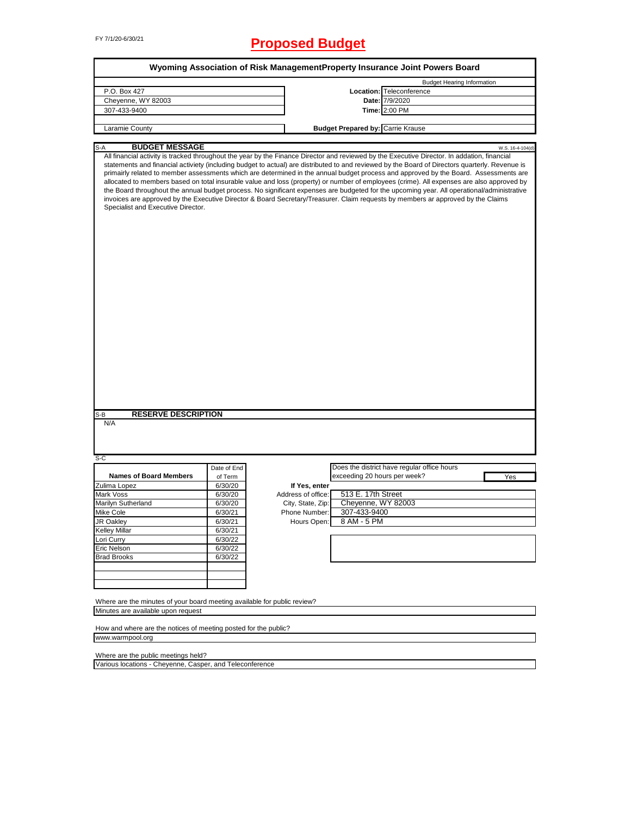# FY 7/1/20-6/30/21 **Proposed Budget**

|                                                                                                                |             |                    |                                          | Wyoming Association of Risk ManagementProperty Insurance Joint Powers Board                                                                                                                                                                                                                                                                                                                                                                                                                                                                                                                                                                                                                                            |
|----------------------------------------------------------------------------------------------------------------|-------------|--------------------|------------------------------------------|------------------------------------------------------------------------------------------------------------------------------------------------------------------------------------------------------------------------------------------------------------------------------------------------------------------------------------------------------------------------------------------------------------------------------------------------------------------------------------------------------------------------------------------------------------------------------------------------------------------------------------------------------------------------------------------------------------------------|
|                                                                                                                |             |                    |                                          | <b>Budget Hearing Information</b>                                                                                                                                                                                                                                                                                                                                                                                                                                                                                                                                                                                                                                                                                      |
| P.O. Box 427                                                                                                   |             |                    |                                          | Location: Teleconference                                                                                                                                                                                                                                                                                                                                                                                                                                                                                                                                                                                                                                                                                               |
| Cheyenne, WY 82003                                                                                             |             |                    |                                          | Date: 7/9/2020                                                                                                                                                                                                                                                                                                                                                                                                                                                                                                                                                                                                                                                                                                         |
| 307-433-9400                                                                                                   |             |                    |                                          | Time: 2:00 PM                                                                                                                                                                                                                                                                                                                                                                                                                                                                                                                                                                                                                                                                                                          |
|                                                                                                                |             |                    |                                          |                                                                                                                                                                                                                                                                                                                                                                                                                                                                                                                                                                                                                                                                                                                        |
| Laramie County                                                                                                 |             |                    | <b>Budget Prepared by: Carrie Krause</b> |                                                                                                                                                                                                                                                                                                                                                                                                                                                                                                                                                                                                                                                                                                                        |
| <b>BUDGET MESSAGE</b><br>S-A                                                                                   |             |                    |                                          | W.S. 16-4-104(d)                                                                                                                                                                                                                                                                                                                                                                                                                                                                                                                                                                                                                                                                                                       |
| Specialist and Executive Director.                                                                             |             |                    |                                          | statements and financial activiety (including budget to actual) are distributed to and reviewed by the Board of Directors quarterly. Revenue is<br>primairly related to member assessments which are determined in the annual budget process and approved by the Board. Assessments are<br>allocated to members based on total insurable value and loss (property) or number of employees (crime). All expenses are also approved by<br>the Board throughout the annual budget process. No significant expenses are budgeted for the upcoming year. All operational/administrative<br>invoices are approved by the Executive Director & Board Secretary/Treasurer. Claim requests by members ar approved by the Claims |
|                                                                                                                |             |                    |                                          |                                                                                                                                                                                                                                                                                                                                                                                                                                                                                                                                                                                                                                                                                                                        |
| <b>RESERVE DESCRIPTION</b><br>S-B                                                                              |             |                    |                                          |                                                                                                                                                                                                                                                                                                                                                                                                                                                                                                                                                                                                                                                                                                                        |
| N/A<br>$S-C$                                                                                                   |             |                    |                                          |                                                                                                                                                                                                                                                                                                                                                                                                                                                                                                                                                                                                                                                                                                                        |
|                                                                                                                | Date of End |                    |                                          | Does the district have regular office hours                                                                                                                                                                                                                                                                                                                                                                                                                                                                                                                                                                                                                                                                            |
| <b>Names of Board Members</b>                                                                                  | of Term     |                    | exceeding 20 hours per week?             | Yes                                                                                                                                                                                                                                                                                                                                                                                                                                                                                                                                                                                                                                                                                                                    |
| Zulima Lopez                                                                                                   | 6/30/20     | If Yes, enter      |                                          |                                                                                                                                                                                                                                                                                                                                                                                                                                                                                                                                                                                                                                                                                                                        |
| Mark Voss                                                                                                      | 6/30/20     | Address of office: | 513 E. 17th Street                       |                                                                                                                                                                                                                                                                                                                                                                                                                                                                                                                                                                                                                                                                                                                        |
| Marilyn Sutherland                                                                                             | 6/30/20     | City, State, Zip:  | Cheyenne, WY 82003                       |                                                                                                                                                                                                                                                                                                                                                                                                                                                                                                                                                                                                                                                                                                                        |
| Mike Cole                                                                                                      | 6/30/21     | Phone Number:      | 307-433-9400                             |                                                                                                                                                                                                                                                                                                                                                                                                                                                                                                                                                                                                                                                                                                                        |
| JR Oakley                                                                                                      | 6/30/21     | Hours Open:        | 8 AM - 5 PM                              |                                                                                                                                                                                                                                                                                                                                                                                                                                                                                                                                                                                                                                                                                                                        |
| <b>Kelley Millar</b>                                                                                           | 6/30/21     |                    |                                          |                                                                                                                                                                                                                                                                                                                                                                                                                                                                                                                                                                                                                                                                                                                        |
| Lori Curry                                                                                                     | 6/30/22     |                    |                                          |                                                                                                                                                                                                                                                                                                                                                                                                                                                                                                                                                                                                                                                                                                                        |
| Eric Nelson                                                                                                    | 6/30/22     |                    |                                          |                                                                                                                                                                                                                                                                                                                                                                                                                                                                                                                                                                                                                                                                                                                        |
| <b>Brad Brooks</b>                                                                                             | 6/30/22     |                    |                                          |                                                                                                                                                                                                                                                                                                                                                                                                                                                                                                                                                                                                                                                                                                                        |
|                                                                                                                |             |                    |                                          |                                                                                                                                                                                                                                                                                                                                                                                                                                                                                                                                                                                                                                                                                                                        |
|                                                                                                                |             |                    |                                          |                                                                                                                                                                                                                                                                                                                                                                                                                                                                                                                                                                                                                                                                                                                        |
|                                                                                                                |             |                    |                                          |                                                                                                                                                                                                                                                                                                                                                                                                                                                                                                                                                                                                                                                                                                                        |
| Where are the minutes of your board meeting available for public review?<br>Minutes are available upon request |             |                    |                                          |                                                                                                                                                                                                                                                                                                                                                                                                                                                                                                                                                                                                                                                                                                                        |
|                                                                                                                |             |                    |                                          |                                                                                                                                                                                                                                                                                                                                                                                                                                                                                                                                                                                                                                                                                                                        |
| How and where are the notices of meeting posted for the public?<br>www.warmpool.org                            |             |                    |                                          |                                                                                                                                                                                                                                                                                                                                                                                                                                                                                                                                                                                                                                                                                                                        |
| Where are the public meetings held?                                                                            |             |                    |                                          |                                                                                                                                                                                                                                                                                                                                                                                                                                                                                                                                                                                                                                                                                                                        |

Various locations - Cheyenne, Casper, and Teleconference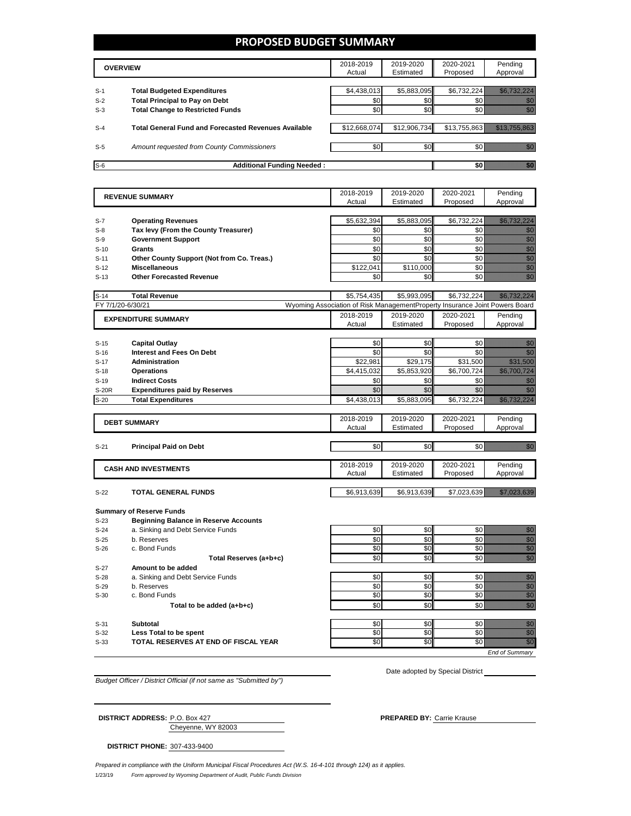### **PROPOSED BUDGET SUMMARY**

|       | <b>OVERVIEW</b>                                             | 2018-2019<br>Actual | 2019-2020<br>Estimated | 2020-2021<br>Proposed | Pending<br>Approval |
|-------|-------------------------------------------------------------|---------------------|------------------------|-----------------------|---------------------|
|       |                                                             |                     |                        |                       |                     |
| $S-1$ | <b>Total Budgeted Expenditures</b>                          | \$4,438,013         | \$5,883,095            | \$6,732,224           |                     |
| $S-2$ | <b>Total Principal to Pay on Debt</b>                       | \$0                 | \$0                    |                       |                     |
| $S-3$ | <b>Total Change to Restricted Funds</b>                     | \$0                 | \$0 <sub>1</sub>       |                       |                     |
|       |                                                             |                     |                        |                       |                     |
| $S-4$ | <b>Total General Fund and Forecasted Revenues Available</b> | \$12,668,074        | \$12,906,734           | \$13,755,863          |                     |
|       |                                                             |                     |                        |                       |                     |
| $S-5$ | Amount requested from County Commissioners                  | \$0                 | \$0 <sub>1</sub>       |                       |                     |
|       |                                                             |                     |                        |                       |                     |
| $S-6$ | <b>Additional Funding Needed:</b>                           |                     |                        |                       |                     |

|                   | <b>REVENUE SUMMARY</b>                       |                                                                             | 2019-2020   | 2020-2021   | Pending                                                                                                                                                                                                                              |
|-------------------|----------------------------------------------|-----------------------------------------------------------------------------|-------------|-------------|--------------------------------------------------------------------------------------------------------------------------------------------------------------------------------------------------------------------------------------|
|                   |                                              |                                                                             | Estimated   | Proposed    | Approval                                                                                                                                                                                                                             |
|                   |                                              |                                                                             |             |             |                                                                                                                                                                                                                                      |
| $S-7$             | <b>Operating Revenues</b>                    | \$5,632,394                                                                 | \$5,883,095 | \$6,732,224 | <u> Kalèndher Ka</u>                                                                                                                                                                                                                 |
| $S-8$             | Tax levy (From the County Treasurer)         | \$0                                                                         | \$0         | \$0         | en de la familie de la familie de la familie de la familie de la familie de la familie de la familie de la fa<br>Concelho de la familie de la familie de la familie de la familie de la familie de la familie de la familie de<br>Co |
| $S-9$             | <b>Government Support</b>                    | \$0                                                                         | \$0         | \$0         |                                                                                                                                                                                                                                      |
| $S-10$            | Grants                                       | \$0                                                                         | \$0         | \$0         | e de la construcción de la construcción de la construcción de la construcción de la construcción de la construcción<br>Construcción de la construcción de la construcción de la construcción de la construcción de la construcció    |
| $S-11$            | Other County Support (Not from Co. Treas.)   | \$0                                                                         | \$0         | \$0         | en første starte for de for de for de for de for de for de for de for de for de for de for de for de for de f<br>Første starte for de for de for de for de for de for de for de for de for de for de for de for de for de for d      |
| $S-12$            | <b>Miscellaneous</b>                         | \$122,041                                                                   | \$110,000   | \$0         |                                                                                                                                                                                                                                      |
| $S-13$            | <b>Other Forecasted Revenue</b>              | \$0                                                                         | \$0         | \$0         | e de la composición de la composición de la composición de la composición de la composición de la composición<br>Composición de la composición de la composición de la composición de la composición de la composición de la co      |
|                   |                                              |                                                                             |             |             |                                                                                                                                                                                                                                      |
| $S-14$            | <b>Total Revenue</b>                         | \$5,754,435                                                                 | \$5,993,095 | \$6,732,224 | <u> Historiano e presentante de la conte</u>                                                                                                                                                                                         |
| FY 7/1/20-6/30/21 |                                              | Wyoming Association of Risk ManagementProperty Insurance Joint Powers Board |             |             |                                                                                                                                                                                                                                      |
|                   | <b>EXPENDITURE SUMMARY</b>                   | 2018-2019                                                                   | 2019-2020   | 2020-2021   | Pending                                                                                                                                                                                                                              |
|                   |                                              | Actual                                                                      | Estimated   | Proposed    | Approval                                                                                                                                                                                                                             |
|                   |                                              |                                                                             |             |             |                                                                                                                                                                                                                                      |
| $S-15$            | <b>Capital Outlay</b>                        | \$0                                                                         | \$0         | \$0         | en de la familie de la familie de la familie de la familie de la familie de la familie de la familie de la fam<br>Estat de la familie de la familie de la familie de la familie de la familie de la familie de la familie de la      |
| $S-16$            | <b>Interest and Fees On Debt</b>             | \$0                                                                         | \$0         | \$0         | <u>film</u>                                                                                                                                                                                                                          |
| $S-17$            | <b>Administration</b>                        | \$22,981                                                                    | \$29,175    | \$31,500    | <u>maania k</u>                                                                                                                                                                                                                      |
| $S-18$            | <b>Operations</b>                            | \$4,415,032                                                                 | \$5,853,920 | \$6,700,724 | <u> Tarihin baratan da</u>                                                                                                                                                                                                           |
| $S-19$            | <b>Indirect Costs</b>                        | \$0                                                                         | \$0         | \$0         | en de la forma de la forma de la forma de la forma de la forma de la forma de la forma de la forma de la forma<br>Constituir de la forma de la forma de la forma de la forma de la forma de la forma de la forma de la forma de      |
| <b>S-20R</b>      | <b>Expenditures paid by Reserves</b>         | \$0                                                                         | \$0         | \$0         | <u>film</u>                                                                                                                                                                                                                          |
| $S-20$            | <b>Total Expenditures</b>                    | \$4,438,013                                                                 | \$5,883,095 | \$6,732,224 | <u> Kabupatèn Pa</u>                                                                                                                                                                                                                 |
|                   |                                              |                                                                             |             |             |                                                                                                                                                                                                                                      |
|                   |                                              | 2018-2019                                                                   | 2019-2020   | 2020-2021   | Pending                                                                                                                                                                                                                              |
|                   | <b>DEBT SUMMARY</b>                          | Actual                                                                      | Estimated   | Proposed    | Approval                                                                                                                                                                                                                             |
|                   |                                              |                                                                             |             |             |                                                                                                                                                                                                                                      |
| $S-21$            | <b>Principal Paid on Debt</b>                | \$0                                                                         | \$0         | \$0         | an dhe                                                                                                                                                                                                                               |
|                   |                                              |                                                                             |             |             |                                                                                                                                                                                                                                      |
|                   | <b>CASH AND INVESTMENTS</b>                  | 2018-2019                                                                   | 2019-2020   | 2020-2021   | Pending                                                                                                                                                                                                                              |
|                   |                                              | Actual                                                                      | Estimated   | Proposed    | Approval                                                                                                                                                                                                                             |
|                   |                                              |                                                                             |             |             |                                                                                                                                                                                                                                      |
| $S-22$            | <b>TOTAL GENERAL FUNDS</b>                   | \$6,913,639                                                                 | \$6,913,639 | \$7,023,639 | <u> Karl Sarajević Sarajević Sarajević Sarajević Sarajević Sarajević Sarajević Sarajević Sarajević Sarajević Sa</u>                                                                                                                  |
|                   |                                              |                                                                             |             |             |                                                                                                                                                                                                                                      |
|                   | <b>Summary of Reserve Funds</b>              |                                                                             |             |             |                                                                                                                                                                                                                                      |
| $S-23$            | <b>Beginning Balance in Reserve Accounts</b> |                                                                             |             |             |                                                                                                                                                                                                                                      |
| $S-24$            | a. Sinking and Debt Service Funds            | \$0                                                                         | \$0         | \$0         | en de la familie de la familie de la familie de la familie de la familie de la familie de la familie de la fam<br>Estat de la familie de la familie de la familie de la familie de la familie de la familie de la familie de la      |
| $S-25$            | b. Reserves                                  | \$0                                                                         | \$0         | \$0         | e de la composición de la composición de la composición de la composición de la composición de la composición<br>Composición de la composición de la composición de la composición de la composición de la composición de la co      |
| $S-26$            | c. Bond Funds                                | \$0                                                                         | \$0         | \$0         |                                                                                                                                                                                                                                      |
|                   | Total Reserves (a+b+c)                       | \$0                                                                         | \$0         | \$0         | en<br>Vidul                                                                                                                                                                                                                          |
| $S-27$            | Amount to be added                           |                                                                             |             |             |                                                                                                                                                                                                                                      |
| $S-28$            | a. Sinking and Debt Service Funds            | \$0                                                                         | \$0         | \$0         | e de la construcción de la construcción de la construcción de la construcción de la construcción de la construcción<br>Construcción de la construcción de la construcción de la construcción de la construcción de la construcció    |
| $S-29$            | b. Reserves                                  | \$0                                                                         | \$0         | \$0         |                                                                                                                                                                                                                                      |
| $S-30$            | c. Bond Funds                                | \$0                                                                         | \$0         | \$0         |                                                                                                                                                                                                                                      |
|                   | Total to be added (a+b+c)                    | \$0                                                                         | \$0         | \$0         | en<br>Maria                                                                                                                                                                                                                          |
|                   |                                              |                                                                             |             |             |                                                                                                                                                                                                                                      |
| $S-31$            | <b>Subtotal</b>                              | \$0                                                                         | \$0         | \$0         | en 1979.<br>Malala                                                                                                                                                                                                                   |
| $S-32$            | Less Total to be spent                       | \$0                                                                         | \$0         | \$0         | en de la familie de la familie de la familie de la familie de la familie de la familie de la familie de la fam<br>Constituit de la familie de la familie de la familie de la familie de la familie de la familie de la familie d     |
| $S-33$            | TOTAL RESERVES AT END OF FISCAL YEAR         | \$0                                                                         | \$0         | \$0         | en de la familie de la familie de la familie de la familie de la familie de la familie de la familie de la fa<br>Constitution de la familie de la familie de la familie de la familie de la familie de la familie de la familie      |

*Budget Officer / District Official (if not same as "Submitted by")*

Date adopted by Special District

*End of Summary*

Cheyenne, WY 82003 **DISTRICT ADDRESS:** P.O. Box 427 **PREPARED BY:** Carrie Krause

**DISTRICT PHONE:** 307-433-9400

1/23/19 *Form approved by Wyoming Department of Audit, Public Funds Division Prepared in compliance with the Uniform Municipal Fiscal Procedures Act (W.S. 16-4-101 through 124) as it applies.*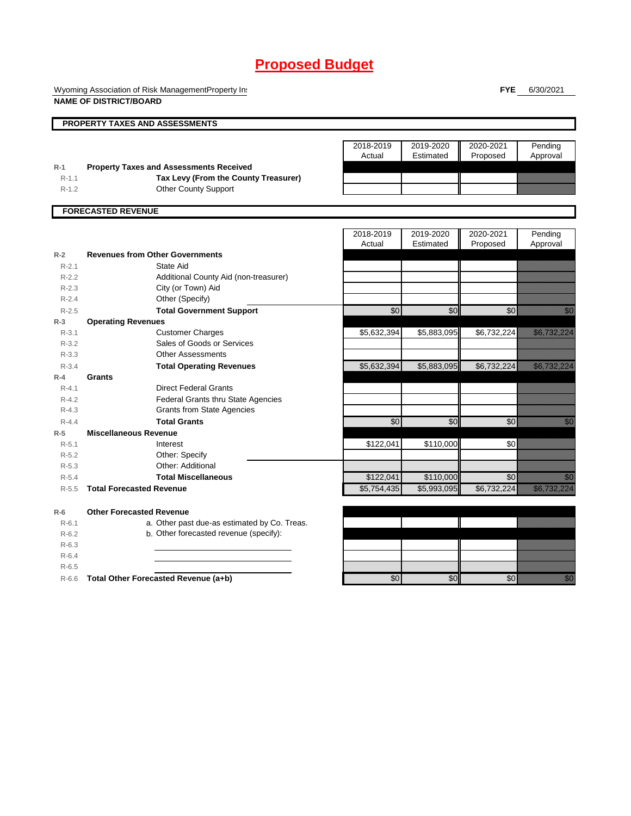Wyoming Association of Risk ManagementProperty Ins **NAME OF DISTRICT/BOARD**

**FYE** 6/30/2021

|           | <b>PROPERTY TAXES AND ASSESSMENTS</b>          |                 |             |             |                                                                                                                                                                                                                                  |
|-----------|------------------------------------------------|-----------------|-------------|-------------|----------------------------------------------------------------------------------------------------------------------------------------------------------------------------------------------------------------------------------|
|           |                                                |                 |             |             |                                                                                                                                                                                                                                  |
|           |                                                | 2018-2019       | 2019-2020   | 2020-2021   | Pending                                                                                                                                                                                                                          |
|           |                                                | Actual          | Estimated   | Proposed    | Approval                                                                                                                                                                                                                         |
| $R-1$     | <b>Property Taxes and Assessments Received</b> |                 |             |             |                                                                                                                                                                                                                                  |
| $R-1.1$   | Tax Levy (From the County Treasurer)           |                 |             |             |                                                                                                                                                                                                                                  |
| $R-1.2$   | <b>Other County Support</b>                    |                 |             |             |                                                                                                                                                                                                                                  |
|           |                                                |                 |             |             |                                                                                                                                                                                                                                  |
|           | <b>FORECASTED REVENUE</b>                      |                 |             |             |                                                                                                                                                                                                                                  |
|           |                                                | 2018-2019       | 2019-2020   | 2020-2021   | Pending                                                                                                                                                                                                                          |
|           |                                                | Actual          | Estimated   | Proposed    | Approval                                                                                                                                                                                                                         |
| $R-2$     | <b>Revenues from Other Governments</b>         |                 |             |             |                                                                                                                                                                                                                                  |
| $R - 2.1$ | State Aid                                      |                 |             |             |                                                                                                                                                                                                                                  |
| $R-2.2$   | Additional County Aid (non-treasurer)          |                 |             |             |                                                                                                                                                                                                                                  |
| $R-2.3$   | City (or Town) Aid                             |                 |             |             |                                                                                                                                                                                                                                  |
| $R - 2.4$ | Other (Specify)                                |                 |             |             |                                                                                                                                                                                                                                  |
| $R-2.5$   | <b>Total Government Support</b>                | $\overline{50}$ | \$0         | \$0         | en de la familie de la familie de la familie de la familie de la familie de la familie de la familie de la fa<br>De la familie de la familie de la familie de la familie de la familie de la familie de la familie de la famili  |
| $R-3$     | <b>Operating Revenues</b>                      |                 |             |             |                                                                                                                                                                                                                                  |
| $R-3.1$   | <b>Customer Charges</b>                        | \$5,632,394     | \$5,883,095 | \$6,732,224 | <u>esta la la provincia del conte</u>                                                                                                                                                                                            |
| $R - 3.2$ | Sales of Goods or Services                     |                 |             |             |                                                                                                                                                                                                                                  |
| $R - 3.3$ | <b>Other Assessments</b>                       |                 |             |             |                                                                                                                                                                                                                                  |
| $R - 3.4$ | <b>Total Operating Revenues</b>                | \$5,632,394     | \$5,883,095 | \$6,732,224 | <u>estatut talah pa</u>                                                                                                                                                                                                          |
| $R-4$     | <b>Grants</b>                                  |                 |             |             |                                                                                                                                                                                                                                  |
| $R - 4.1$ | <b>Direct Federal Grants</b>                   |                 |             |             |                                                                                                                                                                                                                                  |
| $R - 4.2$ | Federal Grants thru State Agencies             |                 |             |             |                                                                                                                                                                                                                                  |
| $R-4.3$   | <b>Grants from State Agencies</b>              |                 |             |             |                                                                                                                                                                                                                                  |
| $R - 4.4$ | <b>Total Grants</b>                            | \$0             | \$0         | \$0         | en de la familie de la familie de la familie de la familie de la familie de la familie de la familie de la fam<br>De la familie de la familie de la familie de la familie de la familie de la familie de la familie de la famili |
| $R-5$     | <b>Miscellaneous Revenue</b>                   |                 |             |             |                                                                                                                                                                                                                                  |
| $R-5.1$   | Interest                                       | \$122,041       | \$110,000   | \$0         |                                                                                                                                                                                                                                  |
| $R-5.2$   | Other: Specify                                 |                 |             |             |                                                                                                                                                                                                                                  |
| $R-5.3$   | Other: Additional                              |                 |             |             |                                                                                                                                                                                                                                  |
| $R - 5.4$ | <b>Total Miscellaneous</b>                     | \$122,041       | \$110,000   | \$0         | en de la familie de la familie de la familie de la familie de la familie de la familie de la familie de la fam<br>De la familie de la familie de la familie de la familie de la familie de la familie de la familie de la famili |
| $R - 5.5$ | <b>Total Forecasted Revenue</b>                | \$5,754,435     | \$5,993,095 | \$6,732,224 | <u> Kalifornia (h. 1888).</u>                                                                                                                                                                                                    |
| $R-6$     | <b>Other Forecasted Revenue</b>                |                 |             |             |                                                                                                                                                                                                                                  |
| $R - 6.1$ | a. Other past due-as estimated by Co. Treas.   |                 |             |             |                                                                                                                                                                                                                                  |
| $R-6.2$   | b. Other forecasted revenue (specify):         |                 |             |             |                                                                                                                                                                                                                                  |
| $R-6.3$   |                                                |                 |             |             |                                                                                                                                                                                                                                  |
| $R-6.4$   |                                                |                 |             |             |                                                                                                                                                                                                                                  |
| $R-6.5$   |                                                |                 |             |             |                                                                                                                                                                                                                                  |
| $R-6.6$   | Total Other Forecasted Revenue (a+b)           | \$0             | \$0         | \$0         | <u>mana</u>                                                                                                                                                                                                                      |
|           |                                                |                 |             |             |                                                                                                                                                                                                                                  |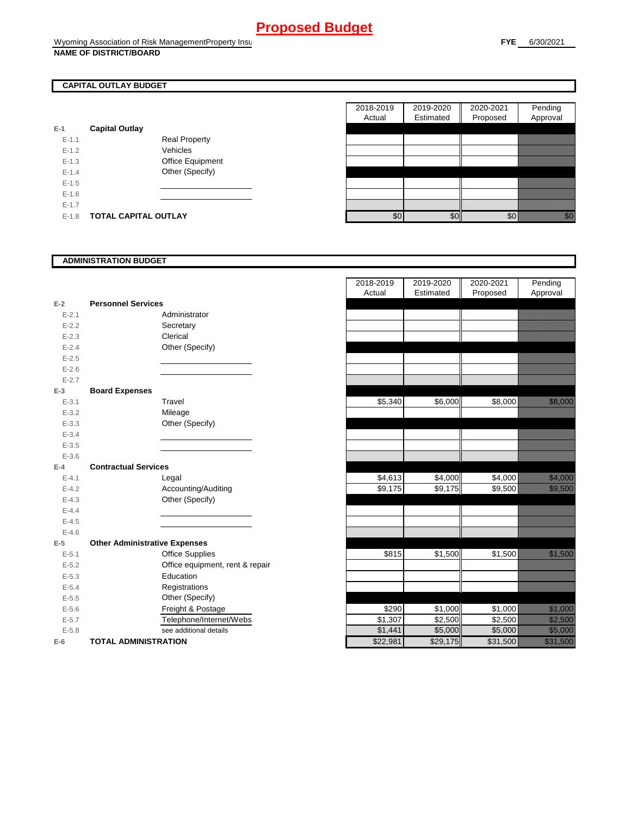### **CAPITAL OUTLAY BUDGET**

| E-1       | <b>Capital Outlay</b> |                         |
|-----------|-----------------------|-------------------------|
| $E - 1.1$ |                       | Real Property           |
| $F-12$    |                       | Vehicles                |
| $F-1.3$   |                       | <b>Office Equipment</b> |
| $F-14$    |                       | Other (Specify)         |
| $F-1.5$   |                       |                         |
| $F-16$    |                       |                         |
| $F-17$    |                       |                         |
| F-18      | TOTAL CAPITAL OUTLAY  |                         |

|           |                             |                      | 2018-2019 | 2019-2020 | 2020-2021 | Pending          |
|-----------|-----------------------------|----------------------|-----------|-----------|-----------|------------------|
|           |                             |                      | Actual    | Estimated | Proposed  | Approval         |
|           | <b>Capital Outlay</b>       |                      |           |           |           |                  |
| $E - 1.1$ |                             | <b>Real Property</b> |           |           |           |                  |
| $E - 1.2$ |                             | Vehicles             |           |           |           |                  |
| $E-1.3$   |                             | Office Equipment     |           |           |           |                  |
| $E - 1.4$ |                             | Other (Specify)      |           |           |           |                  |
| $E-1.5$   |                             |                      |           |           |           |                  |
| $E-1.6$   |                             |                      |           |           |           |                  |
| $E - 1.7$ |                             |                      |           |           |           |                  |
| $E-1.8$   | <b>TOTAL CAPITAL OUTLAY</b> |                      | \$0       | \$0       | \$0       | elli<br>Maria Ma |
|           |                             |                      |           |           |           |                  |

### **ADMINISTRATION BUDGET**

| $E-2$     | <b>Personnel Services</b>            |
|-----------|--------------------------------------|
| $E - 2.1$ | Administrator                        |
| $E - 2.2$ |                                      |
|           | Secretary<br>Clerical                |
| $E - 2.3$ |                                      |
| $E - 2.4$ | Other (Specify)                      |
| $E - 2.5$ |                                      |
| $E - 2.6$ |                                      |
| $E - 2.7$ |                                      |
| $E-3$     | <b>Board Expenses</b>                |
| $E - 3.1$ | Travel                               |
| $E - 3.2$ | Mileage                              |
| $E - 3.3$ | Other (Specify)                      |
| $E - 3.4$ |                                      |
| $E - 3.5$ |                                      |
| $E - 3.6$ |                                      |
| $E-4$     | <b>Contractual Services</b>          |
| $E - 4.1$ | Legal                                |
| $E - 4.2$ | Accounting/Auditing                  |
| $E - 4.3$ | Other (Specify)                      |
| $E - 4.4$ |                                      |
| $E - 4.5$ |                                      |
| $E - 4.6$ |                                      |
| $E-5$     | <b>Other Administrative Expenses</b> |
| $E - 5.1$ | <b>Office Supplies</b>               |
| $E - 5.2$ | Office equipment, rent & repair      |
| $E - 5.3$ | Education                            |
| $E - 5.4$ | Registrations                        |
| $E - 5.5$ | Other (Specify)                      |
| $E - 5.6$ | Freight & Postage                    |
| $E - 5.7$ | Telephone/Internet/Webs              |
| $E - 5.8$ | see additional details               |
| E-6       | <b>TOTAL ADMINISTRATION</b>          |

|           |                                      | 2018-2019 | 2019-2020 | 2020-2021 | Pending                                                                                                               |
|-----------|--------------------------------------|-----------|-----------|-----------|-----------------------------------------------------------------------------------------------------------------------|
|           |                                      | Actual    | Estimated | Proposed  | Approval                                                                                                              |
| $E-2$     | <b>Personnel Services</b>            |           |           |           |                                                                                                                       |
| $E - 2.1$ | Administrator                        |           |           |           |                                                                                                                       |
| $E - 2.2$ | Secretary                            |           |           |           |                                                                                                                       |
| $E - 2.3$ | Clerical                             |           |           |           |                                                                                                                       |
| $E - 2.4$ | Other (Specify)                      |           |           |           |                                                                                                                       |
| $E - 2.5$ |                                      |           |           |           |                                                                                                                       |
| $E-2.6$   |                                      |           |           |           |                                                                                                                       |
| $E - 2.7$ |                                      |           |           |           |                                                                                                                       |
| $E-3$     | <b>Board Expenses</b>                |           |           |           |                                                                                                                       |
| $E - 3.1$ | Travel                               | \$5,340   | \$6,000   | \$8,000   |                                                                                                                       |
| $E - 3.2$ | Mileage                              |           |           |           |                                                                                                                       |
| $E - 3.3$ | Other (Specify)                      |           |           |           |                                                                                                                       |
| $E - 3.4$ |                                      |           |           |           |                                                                                                                       |
| $E - 3.5$ |                                      |           |           |           |                                                                                                                       |
| $E - 3.6$ |                                      |           |           |           |                                                                                                                       |
| $E-4$     | <b>Contractual Services</b>          |           |           |           |                                                                                                                       |
| $E - 4.1$ | Legal                                | \$4,613   | \$4,000   | \$4,000   | <u>i karatifan yang berasala dalam bagi dalam kalendar dalam kalendar dalam bagi dalam dalam bagi dalam bagi dala</u> |
| $E - 4.2$ | Accounting/Auditing                  | \$9,175   | \$9,175   | \$9,500   | <u>ti kalendari kontrol</u>                                                                                           |
| $E - 4.3$ | Other (Specify)                      |           |           |           |                                                                                                                       |
| $E - 4.4$ |                                      |           |           |           |                                                                                                                       |
| $E - 4.5$ |                                      |           |           |           |                                                                                                                       |
| $E - 4.6$ |                                      |           |           |           |                                                                                                                       |
| $E-5$     | <b>Other Administrative Expenses</b> |           |           |           |                                                                                                                       |
| $E - 5.1$ | <b>Office Supplies</b>               | \$815     | \$1,500   | \$1,500   |                                                                                                                       |
| $E - 5.2$ | Office equipment, rent & repair      |           |           |           |                                                                                                                       |
| $E - 5.3$ | Education                            |           |           |           |                                                                                                                       |
| $E - 5.4$ | Registrations                        |           |           |           |                                                                                                                       |
| $E - 5.5$ | Other (Specify)                      |           |           |           |                                                                                                                       |
| $E-5.6$   | Freight & Postage                    | \$290     | \$1,000   | \$1,000   | <u>tin allan</u>                                                                                                      |
| $E - 5.7$ | Telephone/Internet/Webs              | \$1,307   | \$2,500   | \$2,500   | <u> Karlingan Sa</u>                                                                                                  |
| $E - 5.8$ | see additional details               | \$1,441   | \$5,000   | \$5,000   | <u> Harristoaren 1</u>                                                                                                |
| $E-6$     | <b>TOTAL ADMINISTRATION</b>          | \$22,981  | \$29,175  | \$31,500  | <u>i karatikana ya kusingan kusingan da karatikana ya kusingan da karatikana ya kusingan da karatikana ya kusing</u>  |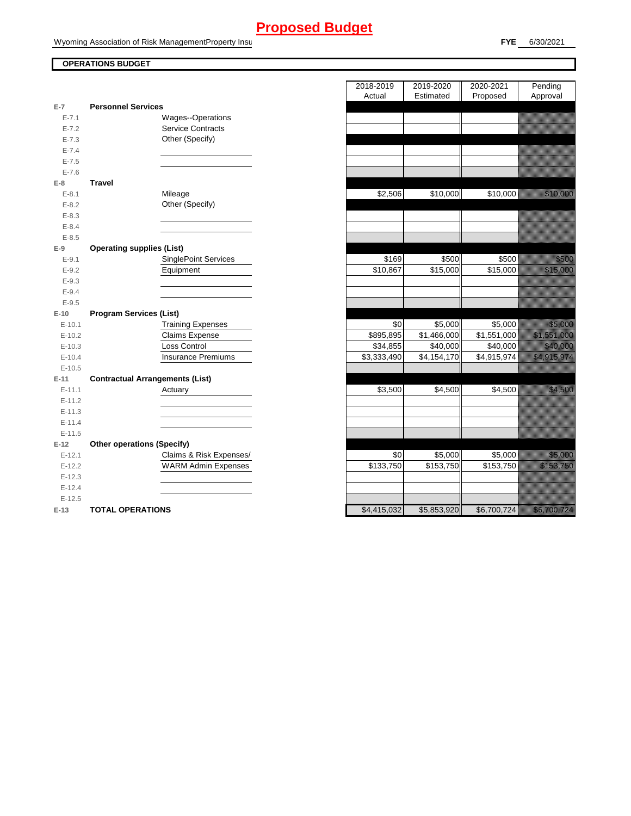Wyoming Association of Risk ManagementProperty Insurance

### **OPERATIONS BUDGET**

| $E-7$     | <b>Personnel Services</b>              |
|-----------|----------------------------------------|
| $E - 7.1$ | Wages--Operations                      |
| $E - 7.2$ | <b>Service Contracts</b>               |
| $E - 7.3$ | Other (Specify)                        |
| $E - 7.4$ |                                        |
| $E - 7.5$ |                                        |
| $E - 7.6$ |                                        |
| E-8       | <b>Travel</b>                          |
| $E - 8.1$ | Mileage                                |
| $E - 8.2$ | Other (Specify)                        |
| $E - 8.3$ |                                        |
| $E - 8.4$ |                                        |
| $E - 8.5$ |                                        |
| E-9       | <b>Operating supplies (List)</b>       |
| $E-9.1$   | <b>SinglePoint Services</b>            |
| $E - 9.2$ | Equipment                              |
| $E - 9.3$ |                                        |
| $E - 9.4$ |                                        |
| $E - 9.5$ |                                        |
| $E-10$    |                                        |
|           | <b>Program Services (List)</b>         |
| $E-10.1$  | <b>Training Expenses</b>               |
| $E-10.2$  | Claims Expense                         |
| $E-10.3$  | <b>Loss Control</b>                    |
| $E-10.4$  | <b>Insurance Premiums</b>              |
| $E-10.5$  |                                        |
| $E-11$    | <b>Contractual Arrangements (List)</b> |
| $E-11.1$  | Actuary <u>_______</u>                 |
| $E-11.2$  |                                        |
| $E-11.3$  |                                        |
| $E-11.4$  |                                        |
| $E-11.5$  |                                        |
| $E-12$    | <b>Other operations (Specify)</b>      |
| $E-12.1$  | Claims & Risk Expenses/                |
| $E-12.2$  | <b>WARM Admin Expenses</b>             |
| $E-12.3$  |                                        |
| $E-12.4$  |                                        |
| $E-12.5$  |                                        |

|                        |                                                | 2018-2019            | 2019-2020            | 2020-2021   | Pending                                                                                                             |
|------------------------|------------------------------------------------|----------------------|----------------------|-------------|---------------------------------------------------------------------------------------------------------------------|
|                        |                                                | Actual               | Estimated            | Proposed    | Approval                                                                                                            |
| $\overline{7}$         | <b>Personnel Services</b><br>Wages--Operations |                      |                      |             |                                                                                                                     |
| $E - 7.1$              | <b>Service Contracts</b>                       |                      |                      |             |                                                                                                                     |
| $E - 7.2$              | Other (Specify)                                |                      |                      |             |                                                                                                                     |
| $E - 7.3$<br>$E - 7.4$ |                                                |                      |                      |             |                                                                                                                     |
| $E - 7.5$              |                                                |                      |                      |             |                                                                                                                     |
| $E - 7.6$              |                                                |                      |                      |             |                                                                                                                     |
| 8                      | <b>Travel</b>                                  |                      |                      |             |                                                                                                                     |
| $E-8.1$                | Mileage                                        | \$2,506              | \$10,000             | \$10,000    | <u> Karl Sara</u>                                                                                                   |
| $E - 8.2$              | Other (Specify)                                |                      |                      |             |                                                                                                                     |
| $E - 8.3$              |                                                |                      |                      |             |                                                                                                                     |
| $E - 8.4$              |                                                |                      |                      |             |                                                                                                                     |
| $E - 8.5$              |                                                |                      |                      |             |                                                                                                                     |
| 9                      | <b>Operating supplies (List)</b>               |                      |                      |             |                                                                                                                     |
| $E-9.1$                | <b>SinglePoint Services</b>                    | \$169                | \$500                | \$500       | <u>tionalist</u>                                                                                                    |
| $E - 9.2$              | Equipment                                      | $\overline{$10,867}$ | $\overline{$}15,000$ | \$15,000    | <u> Karl Sara</u>                                                                                                   |
| $E - 9.3$              |                                                |                      |                      |             |                                                                                                                     |
| $E - 9.4$              |                                                |                      |                      |             |                                                                                                                     |
| $E - 9.5$              |                                                |                      |                      |             |                                                                                                                     |
| 10                     | <b>Program Services (List)</b>                 |                      |                      |             |                                                                                                                     |
| $E-10.1$               | <b>Training Expenses</b>                       | \$0                  | \$5,000              | \$5,000     | <u>ti ka</u>                                                                                                        |
| $E-10.2$               | Claims Expense                                 | \$895,895            | \$1,466,000          | \$1,551,000 | <u> Karl Sarajan Sarajan Sarajan Sarajan Sarajan Sarajan Sarajan Sarajan Sarajan Sarajan Sarajan Sarajan Saraja</u> |
| $E-10.3$               | Loss Control                                   | \$34,855             | \$40,000             | \$40,000    | <u> Karl Sara</u>                                                                                                   |
| $E-10.4$               | <b>Insurance Premiums</b>                      | \$3,333,490          | \$4,154,170          | \$4,915,974 | <u> Elizabeth Carlotta (Carlotta Carlotta) e controllado a controllado de controllado de controllado de con</u>     |
| $E-10.5$               |                                                |                      |                      |             |                                                                                                                     |
| $-11$                  | <b>Contractual Arrangements (List)</b>         |                      |                      |             |                                                                                                                     |
| $E-11.1$               | Actuary                                        | \$3,500              | \$4,500              | \$4,500     |                                                                                                                     |
| $E-11.2$               |                                                |                      |                      |             |                                                                                                                     |
| $E-11.3$               |                                                |                      |                      |             |                                                                                                                     |
| $E-11.4$               |                                                |                      |                      |             |                                                                                                                     |
| $E-11.5$               |                                                |                      |                      |             |                                                                                                                     |
| 12                     | <b>Other operations (Specify)</b>              |                      |                      |             |                                                                                                                     |
| $E-12.1$               | Claims & Risk Expenses/                        | \$0                  | \$5,000              | \$5,000     | <u>tion and</u>                                                                                                     |
| $E-12.2$               | <b>WARM Admin Expenses</b>                     | \$133,750            | \$153,750            | \$153,750   | an di kacamatan ing Kabupatèn Kabupatèn Kabupatèn Kabupatèn Kabupatèn Kabupatèn Kabupatèn Kabupatèn Kabupatèn       |
| $E-12.3$               |                                                |                      |                      |             |                                                                                                                     |
| $E-12.4$               |                                                |                      |                      |             |                                                                                                                     |
| $E-12.5$               |                                                |                      |                      |             |                                                                                                                     |
| 13 I                   | <b>TOTAL OPERATIONS</b>                        | \$4.415.032          | \$5.853.920          | \$6.700.724 | UMARA WALI                                                                                                          |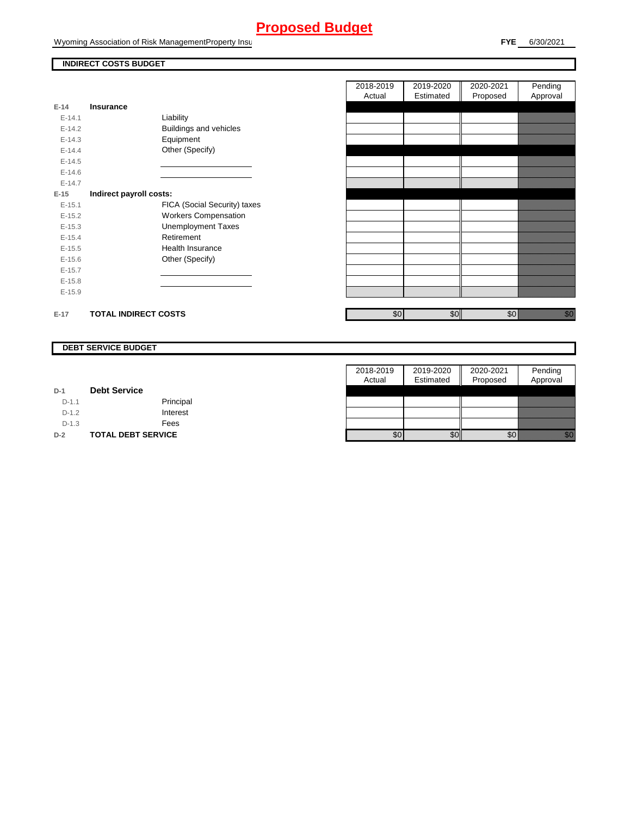Wyoming Association of Risk ManagementProperty Insurance

### **INDIRECT COSTS BUDGET**

| E-14       | Insurance                   |                               |
|------------|-----------------------------|-------------------------------|
| $E-14.1$   |                             |                               |
|            |                             | Liability                     |
| $F-142$    |                             | <b>Buildings and vehicles</b> |
| $E-14.3$   |                             | Equipment                     |
| $F-144$    |                             | Other (Specify)               |
| $E-14.5$   |                             |                               |
| $F-146$    |                             |                               |
| $F-147$    |                             |                               |
| $E-15$     | Indirect payroll costs:     |                               |
| $E-15.1$   |                             | FICA (Social Security) taxes  |
| $F-152$    |                             | <b>Workers Compensation</b>   |
| $E-15.3$   |                             | <b>Unemployment Taxes</b>     |
| $E-15.4$   |                             | Retirement                    |
| $E-15.5$   |                             | Health Insurance              |
| $E - 15.6$ |                             | Other (Specify)               |
| $E-15.7$   |                             |                               |
| $E-15.8$   |                             |                               |
| $E-15.9$   |                             |                               |
| $E-17$     | <b>TOTAL INDIRECT COSTS</b> |                               |

| 2018-2019 | 2019-2020 | 2020-2021 | Pending  |
|-----------|-----------|-----------|----------|
| Actual    | Estimated | Proposed  | Approval |
|           |           |           |          |
|           |           |           |          |
|           |           |           |          |
|           |           |           |          |
|           |           |           |          |
|           |           |           |          |
|           |           |           |          |
|           |           |           |          |
|           |           |           |          |
|           |           |           |          |
|           |           |           |          |
|           |           |           |          |
|           |           |           |          |
|           |           |           |          |
|           |           |           |          |
|           |           |           |          |
|           |           |           |          |
|           |           |           |          |
|           |           |           |          |
| \$0       | \$0       | \$0       |          |
|           |           |           |          |

#### **DEBT SERVICE BUDGET**

|         |                           | 2018-2019        | 2019-2020 | 2020-2021 | Pending  |
|---------|---------------------------|------------------|-----------|-----------|----------|
|         |                           | Actual           | Estimated | Proposed  | Approval |
| $D-1$   | <b>Debt Service</b>       |                  |           |           |          |
| $D-1.1$ | Principal                 |                  |           |           |          |
| $D-1.2$ | Interest                  |                  |           |           |          |
| $D-1.3$ | Fees                      |                  |           |           |          |
| $D-2$   | <b>TOTAL DEBT SERVICE</b> | \$0 <sub>1</sub> | \$0       | \$0       | an dhe   |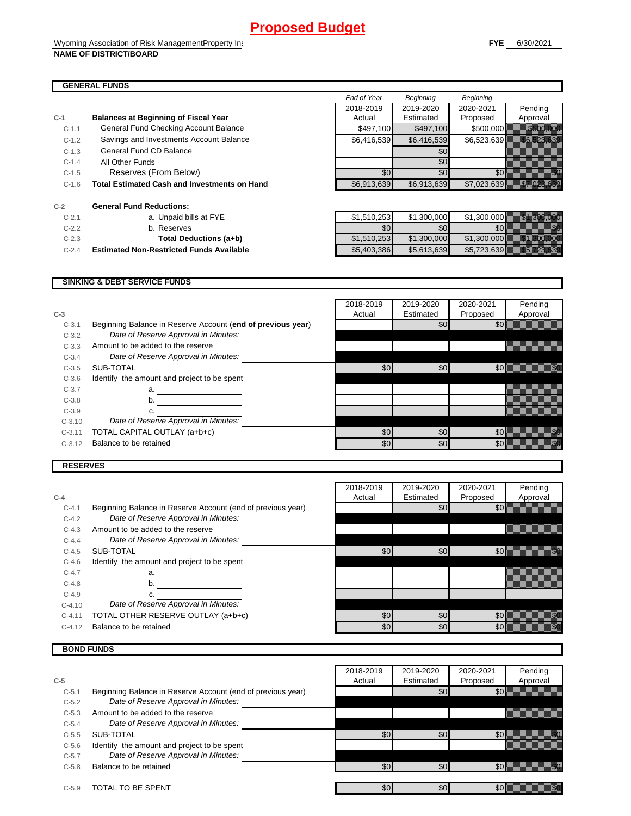*End of Year Beginning Beginning*

### **GENERAL FUNDS**

| $C-1$   | <b>Balances at Beginning of Fiscal Year</b>         | 2018-2019<br>Actual | 2019-2020<br>Estimated | 2020-2021<br>Proposed | Pending<br>Approval                                                                                                                                                                                                            |
|---------|-----------------------------------------------------|---------------------|------------------------|-----------------------|--------------------------------------------------------------------------------------------------------------------------------------------------------------------------------------------------------------------------------|
| $C-1.1$ | General Fund Checking Account Balance               | \$497,100           | \$497,100              | \$500,000             | <u> Harristo Santa Consta</u>                                                                                                                                                                                                  |
| $C-1.2$ | Savings and Investments Account Balance             | \$6,416,539         | \$6,416,539            | \$6,523,639           | <u> Kalèndher Ka</u>                                                                                                                                                                                                           |
| $C-1.3$ | <b>General Fund CD Balance</b>                      |                     | \$0                    |                       |                                                                                                                                                                                                                                |
| $C-1.4$ | All Other Funds                                     |                     | \$0                    |                       |                                                                                                                                                                                                                                |
| $C-1.5$ | Reserves (From Below)                               | \$0                 | \$0                    | \$0                   |                                                                                                                                                                                                                                |
| $C-1.6$ | <b>Total Estimated Cash and Investments on Hand</b> | \$6,913,639         | \$6,913,639            | \$7,023,639           | <u> Kallistini (K</u>                                                                                                                                                                                                          |
| $C-2$   | <b>General Fund Reductions:</b>                     |                     |                        |                       |                                                                                                                                                                                                                                |
| $C-2.1$ | a. Unpaid bills at FYE                              | \$1,510,253         | \$1,300,000            | \$1,300,000           | 1999 - 1999 - 1999 - 1999 - 1999 - 1999 - 1999 - 1999 - 1999 - 1999 - 1999 - 1999 - 1999 - 1999 - 1999 - 1999<br>1999 - 1999 - 1999 - 1999 - 1999 - 1999 - 1999 - 1999 - 1999 - 1999 - 1999 - 1999 - 1999 - 1999 - 1999 - 1999 |
| $C-2.2$ | b. Reserves                                         | \$0                 | \$0                    | \$0                   |                                                                                                                                                                                                                                |
| $C-2.3$ | Total Deductions (a+b)                              | \$1,510,253         | \$1,300,000            | \$1,300,000           | <u> Kalèndher Grégorian Sa</u>                                                                                                                                                                                                 |
| $C-2.4$ | <b>Estimated Non-Restricted Funds Available</b>     | \$5,403,386         | \$5,613,639            | \$5,723,639           | <u> Kalifornia (h. 1888).</u>                                                                                                                                                                                                  |

### **SINKING & DEBT SERVICE FUNDS**

|          |                                                             | 2018-2019 | 2019-2020 | 2020-2021 | Pending                                                                                                                                                                                                                         |
|----------|-------------------------------------------------------------|-----------|-----------|-----------|---------------------------------------------------------------------------------------------------------------------------------------------------------------------------------------------------------------------------------|
| $C-3$    |                                                             | Actual    | Estimated | Proposed  | Approval                                                                                                                                                                                                                        |
| $C-3.1$  | Beginning Balance in Reserve Account (end of previous year) |           | \$0       | \$0       |                                                                                                                                                                                                                                 |
| $C-3.2$  | Date of Reserve Approval in Minutes:                        |           |           |           |                                                                                                                                                                                                                                 |
| $C-3.3$  | Amount to be added to the reserve                           |           |           |           |                                                                                                                                                                                                                                 |
| $C-3.4$  | Date of Reserve Approval in Minutes:                        |           |           |           |                                                                                                                                                                                                                                 |
| $C-3.5$  | SUB-TOTAL                                                   | \$0       | \$0       | \$0       | William                                                                                                                                                                                                                         |
| $C-3.6$  | Identify the amount and project to be spent                 |           |           |           |                                                                                                                                                                                                                                 |
| $C-3.7$  | a.                                                          |           |           |           |                                                                                                                                                                                                                                 |
| $C-3.8$  | b.                                                          |           |           |           |                                                                                                                                                                                                                                 |
| $C-3.9$  | c.                                                          |           |           |           |                                                                                                                                                                                                                                 |
| $C-3.10$ | Date of Reserve Approval in Minutes:                        |           |           |           |                                                                                                                                                                                                                                 |
| $C-3.11$ | TOTAL CAPITAL OUTLAY (a+b+c)                                | \$0       | \$0       | \$0       | en de la filosofon de la filosofon de la filosofon de la filosofon de la filosofon de la filosofon de la filo<br>Contradición de la filosofon de la filosofon de la filosofon de la filosofon de la filosofon de la filosofon d |
| $C-3.12$ | Balance to be retained                                      | \$0       | \$0       | \$0       |                                                                                                                                                                                                                                 |
|          |                                                             |           |           |           |                                                                                                                                                                                                                                 |

 $\blacksquare$ 

 $\mathbf{\tau}$ 

### **RESERVES**

|          |                                                             | 2018-2019 | 2019-2020        | 2020-2021  | Pending  |
|----------|-------------------------------------------------------------|-----------|------------------|------------|----------|
| $C-4$    |                                                             | Actual    | Estimated        | Proposed   | Approval |
| $C-4.1$  | Beginning Balance in Reserve Account (end of previous year) |           | \$0 <sub>1</sub> | <b>\$0</b> |          |
| $C-4.2$  | Date of Reserve Approval in Minutes:                        |           |                  |            |          |
| $C-4.3$  | Amount to be added to the reserve                           |           |                  |            |          |
| $C-4.4$  | Date of Reserve Approval in Minutes:                        |           |                  |            |          |
| $C-4.5$  | SUB-TOTAL                                                   | \$0       | \$0              | \$0        |          |
| $C-4.6$  | Identify the amount and project to be spent                 |           |                  |            |          |
| $C-4.7$  | a.                                                          |           |                  |            |          |
| $C-4.8$  | b.                                                          |           |                  |            |          |
| $C-4.9$  |                                                             |           |                  |            |          |
| $C-4.10$ | Date of Reserve Approval in Minutes:                        |           |                  |            |          |
| $C-4.11$ | TOTAL OTHER RESERVE OUTLAY (a+b+c)                          | \$0       | \$0              | \$0        | n Sala   |
| $C-4.12$ | Balance to be retained                                      | \$0       | \$0              | \$0        | ,        |

### **BOND FUNDS**

|         |                                                             | 2018-2019 | 2019-2020        | 2020-2021  | Pending                                                                                                                                                                                                                          |
|---------|-------------------------------------------------------------|-----------|------------------|------------|----------------------------------------------------------------------------------------------------------------------------------------------------------------------------------------------------------------------------------|
| $C-5$   |                                                             | Actual    | Estimated        | Proposed   | Approval                                                                                                                                                                                                                         |
| $C-5.1$ | Beginning Balance in Reserve Account (end of previous year) |           | \$0              | <b>\$0</b> |                                                                                                                                                                                                                                  |
| $C-5.2$ | Date of Reserve Approval in Minutes:                        |           |                  |            |                                                                                                                                                                                                                                  |
| $C-5.3$ | Amount to be added to the reserve                           |           |                  |            |                                                                                                                                                                                                                                  |
| $C-5.4$ | Date of Reserve Approval in Minutes:                        |           |                  |            |                                                                                                                                                                                                                                  |
| $C-5.5$ | SUB-TOTAL                                                   | \$0       | \$0 <sub>l</sub> | \$0        | , and a fact of the contract of the contract of the contract of the contract of the contract of the contract o<br>The contract of the contract of the contract of the contract of the contract of the contract of the contract o |
| $C-5.6$ | Identify the amount and project to be spent                 |           |                  |            |                                                                                                                                                                                                                                  |
| $C-5.7$ | Date of Reserve Approval in Minutes:                        |           |                  |            |                                                                                                                                                                                                                                  |
| $C-5.8$ | Balance to be retained                                      | \$0       | <b>\$01</b>      | \$0        | 1999                                                                                                                                                                                                                             |
| $C-5.9$ | TOTAL TO BE SPENT                                           | \$0       | \$0              | \$0        | ,                                                                                                                                                                                                                                |